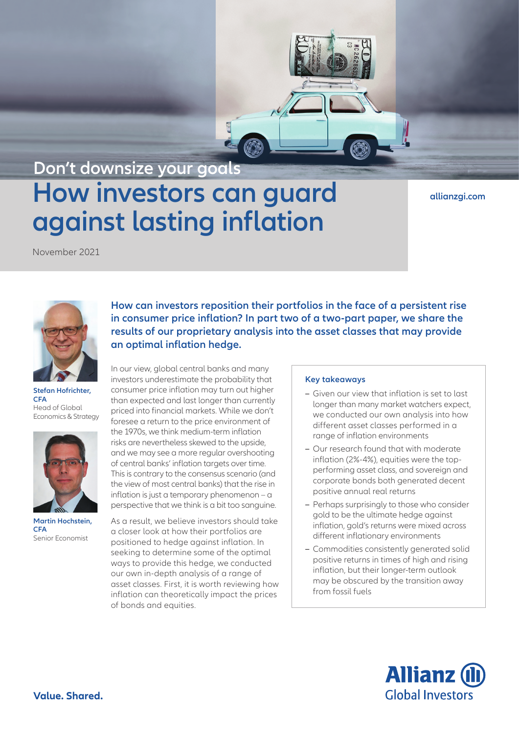# **How investors can guard against lasting inflation Don't downsize your goals**

**[allianzgi.com](https://www.allianzgi.com/)**

November 2021



**Stefan Hofrichter, CFA** Head of Global Economics & Strategy



**Martin Hochstein, CFA** Senior Economist

**How can investors reposition their portfolios in the face of a persistent rise in consumer price inflation? In part two of a two-part paper, we share the results of our proprietary analysis into the asset classes that may provide an optimal inflation hedge.**

In our view, global central banks and many investors underestimate the probability that consumer price inflation may turn out higher than expected and last longer than currently priced into financial markets. While we don't foresee a return to the price environment of the 1970s, we think medium-term inflation risks are nevertheless skewed to the upside, and we may see a more regular overshooting of central banks' inflation targets over time. This is contrary to the consensus scenario (and the view of most central banks) that the rise in inflation is just a temporary phenomenon – a perspective that we think is a bit too sanguine.

As a result, we believe investors should take a closer look at how their portfolios are positioned to hedge against inflation. In seeking to determine some of the optimal ways to provide this hedge, we conducted our own in-depth analysis of a range of asset classes. First, it is worth reviewing how inflation can theoretically impact the prices of bonds and equities.

### **Key takeaways**

- **–** Given our view that inflation is set to last longer than many market watchers expect, we conducted our own analysis into how different asset classes performed in a range of inflation environments
- **–** Our research found that with moderate inflation (2%-4%), equities were the topperforming asset class, and sovereign and corporate bonds both generated decent positive annual real returns
- **–** Perhaps surprisingly to those who consider gold to be the ultimate hedge against inflation, gold's returns were mixed across different inflationary environments
- **–** Commodities consistently generated solid positive returns in times of high and rising inflation, but their longer-term outlook may be obscured by the transition away from fossil fuels

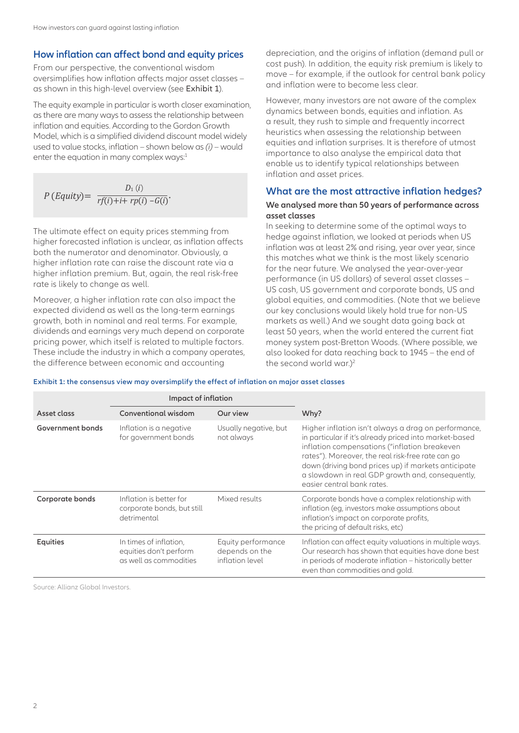# **How inflation can affect bond and equity prices**

From our perspective, the conventional wisdom oversimplifies how inflation affects major asset classes – as shown in this high-level overview (see Exhibit 1).

The equity example in particular is worth closer examination, as there are many ways to assess the relationship between inflation and equities. According to the Gordon Growth Model, which is a simplified dividend discount model widely used to value stocks, inflation – shown below as *(i)* – would enter the equation in many complex ways:<sup>1</sup>

$$
P\left(Equity\right) = \frac{D_1\left(i\right)}{rf(i)+i+rp(i)-G(i)}.
$$

The ultimate effect on equity prices stemming from higher forecasted inflation is unclear, as inflation affects both the numerator and denominator. Obviously, a higher inflation rate can raise the discount rate via a higher inflation premium. But, again, the real risk-free rate is likely to change as well.

Moreover, a higher inflation rate can also impact the expected dividend as well as the long-term earnings growth, both in nominal and real terms. For example, dividends and earnings very much depend on corporate pricing power, which itself is related to multiple factors. These include the industry in which a company operates, the difference between economic and accounting

depreciation, and the origins of inflation (demand pull or cost push). In addition, the equity risk premium is likely to move – for example, if the outlook for central bank policy and inflation were to become less clear.

However, many investors are not aware of the complex dynamics between bonds, equities and inflation. As a result, they rush to simple and frequently incorrect heuristics when assessing the relationship between equities and inflation surprises. It is therefore of utmost importance to also analyse the empirical data that enable us to identify typical relationships between inflation and asset prices.

# **What are the most attractive inflation hedges?**

## **We analysed more than 50 years of performance across asset classes**

In seeking to determine some of the optimal ways to hedge against inflation, we looked at periods when US inflation was at least 2% and rising, year over year, since this matches what we think is the most likely scenario for the near future. We analysed the year-over-year performance (in US dollars) of several asset classes – US cash, US government and corporate bonds, US and global equities, and commodities. (Note that we believe our key conclusions would likely hold true for non-US markets as well.) And we sought data going back at least 50 years, when the world entered the current fiat money system post-Bretton Woods. (Where possible, we also looked for data reaching back to 1945 – the end of the second world war.) $2$ 

**Exhibit 1: the consensus view may oversimplify the effect of inflation on major asset classes**

|                  | Impact of inflation                                                        |                                                         |                                                                                                                                                                                                                                                                                                                                                               |
|------------------|----------------------------------------------------------------------------|---------------------------------------------------------|---------------------------------------------------------------------------------------------------------------------------------------------------------------------------------------------------------------------------------------------------------------------------------------------------------------------------------------------------------------|
| Asset class      | <b>Conventional wisdom</b>                                                 | Our view                                                | Why?                                                                                                                                                                                                                                                                                                                                                          |
| Government bonds | Inflation is a negative<br>for government bonds                            | Usually negative, but<br>not always                     | Higher inflation isn't always a drag on performance,<br>in particular if it's already priced into market-based<br>inflation compensations ("inflation breakeven<br>rates"). Moreover, the real risk-free rate can go<br>down (driving bond prices up) if markets anticipate<br>a slowdown in real GDP growth and, consequently,<br>easier central bank rates. |
| Corporate bonds  | Inflation is better for<br>corporate bonds, but still<br>detrimental       | Mixed results                                           | Corporate bonds have a complex relationship with<br>inflation (eg, investors make assumptions about<br>inflation's impact on corporate profits,<br>the pricing of default risks, etc)                                                                                                                                                                         |
| <b>Equities</b>  | In times of inflation,<br>equities don't perform<br>as well as commodities | Equity performance<br>depends on the<br>inflation level | Inflation can affect equity valuations in multiple ways.<br>Our research has shown that equities have done best<br>in periods of moderate inflation – historically better<br>even than commodities and gold.                                                                                                                                                  |

Source: Allianz Global Investors.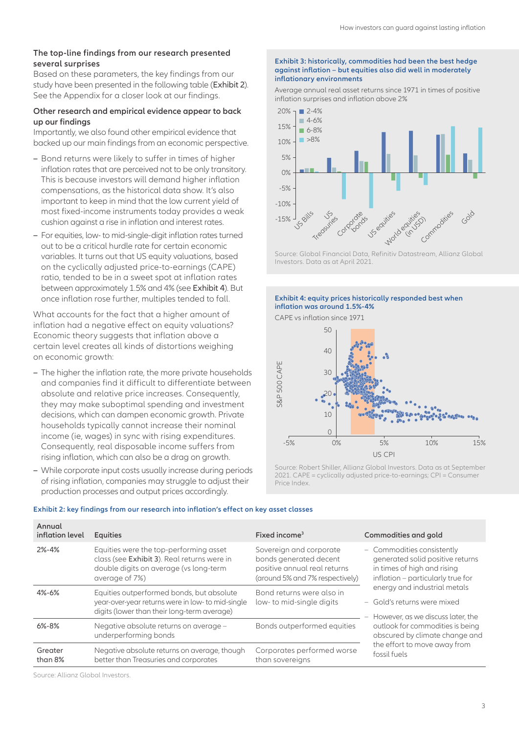#### **The top-line findings from our research presented several surprises**

Based on these parameters, the key findings from our study have been presented in the following table (Exhibit 2). See the Appendix for a closer look at our findings.

#### **Other research and empirical evidence appear to back up our findings**

Importantly, we also found other empirical evidence that backed up our main findings from an economic perspective.

- **–** Bond returns were likely to suffer in times of higher inflation rates that are perceived not to be only transitory. This is because investors will demand higher inflation compensations, as the historical data show. It's also important to keep in mind that the low current yield of most fixed-income instruments today provides a weak cushion against a rise in inflation and interest rates.
- **–** For equities, low- to mid-single-digit inflation rates turned out to be a critical hurdle rate for certain economic variables. It turns out that US equity valuations, based on the cyclically adjusted price-to-earnings (CAPE) ratio, tended to be in a sweet spot at inflation rates between approximately 1.5% and 4% (see Exhibit 4). But once inflation rose further, multiples tended to fall.

What accounts for the fact that a higher amount of inflation had a negative effect on equity valuations? Economic theory suggests that inflation above a certain level creates all kinds of distortions weighing on economic growth:

- **–** The higher the inflation rate, the more private households and companies find it difficult to differentiate between absolute and relative price increases. Consequently, they may make suboptimal spending and investment decisions, which can dampen economic growth. Private households typically cannot increase their nominal income (ie, wages) in sync with rising expenditures. Consequently, real disposable income suffers from rising inflation, which can also be a drag on growth.
- **–** While corporate input costs usually increase during periods of rising inflation, companies may struggle to adjust their production processes and output prices accordingly.

#### **Exhibit 3: historically, commodities had been the best hedge against inflation – but equities also did well in moderately inflationary environments**

Average annual real asset returns since 1971 in times of positive inflation surprises and inflation above 2%



Source: Global Financial Data, Refinitiv Datastream, Allianz Global Investors. Data as at April 2021.

**Exhibit 4: equity prices historically responded best when inflation was around 1.5%-4%**



Source: Robert Shiller, Allianz Global Investors. Data as at September 2021. CAPE = cyclically adjusted price-to-earnings; CPI = Consumer Price Index.

| Annual<br>inflation level | <b>Equities</b>                                                                                                                                   | Fixed income <sup>3</sup>                                                                                            | Commodities and gold                                                                                                                                                                                                                                                                                                                                           |  |
|---------------------------|---------------------------------------------------------------------------------------------------------------------------------------------------|----------------------------------------------------------------------------------------------------------------------|----------------------------------------------------------------------------------------------------------------------------------------------------------------------------------------------------------------------------------------------------------------------------------------------------------------------------------------------------------------|--|
| 2%-4%                     | Equities were the top-performing asset<br>class (see Exhibit 3). Real returns were in<br>double digits on average (vs long-term<br>average of 7%) | Sovereign and corporate<br>bonds generated decent<br>positive annual real returns<br>(around 5% and 7% respectively) | - Commodities consistently<br>generated solid positive returns<br>in times of high and rising<br>inflation - particularly true for<br>energy and industrial metals<br>- Gold's returns were mixed<br>- However, as we discuss later, the<br>outlook for commodities is being<br>obscured by climate change and<br>the effort to move away from<br>fossil fuels |  |
| 4%-6%                     | Equities outperformed bonds, but absolute<br>year-over-year returns were in low- to mid-single<br>digits (lower than their long-term average)     | Bond returns were also in<br>low- to mid-single digits                                                               |                                                                                                                                                                                                                                                                                                                                                                |  |
| $6\% - 8\%$               | Negative absolute returns on average -<br>underperforming bonds                                                                                   | Bonds outperformed equities                                                                                          |                                                                                                                                                                                                                                                                                                                                                                |  |
| Greater<br>than 8%        | Negative absolute returns on average, though<br>better than Treasuries and corporates                                                             | Corporates performed worse<br>than sovereigns                                                                        |                                                                                                                                                                                                                                                                                                                                                                |  |

#### **Exhibit 2: key findings from our research into inflation's effect on key asset classes**

Source: Allianz Global Investors.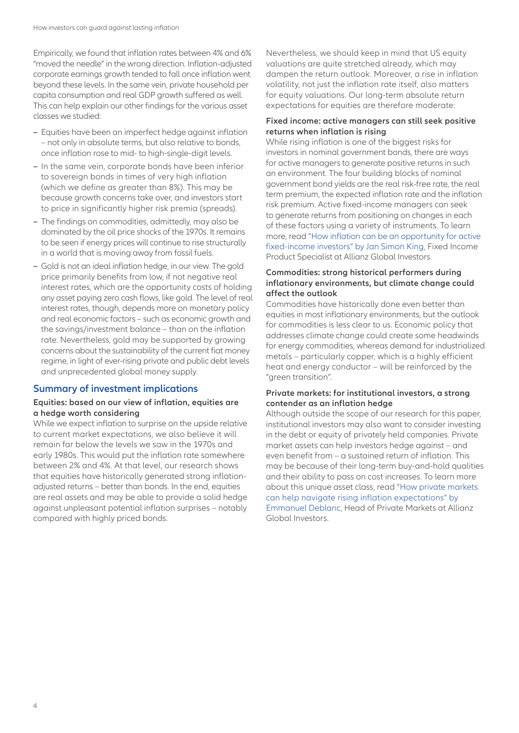Empirically, we found that inflation rates between 4% and 6% "moved the needle" in the wrong direction. Inflation-adjusted corporate earnings growth tended to fall once inflation went beyond these levels. In the same vein, private household per capita consumption and real GDP growth suffered as well. This can help explain our other findings for the various asset classes we studied:

- **–** Equities have been an imperfect hedge against inflation – not only in absolute terms, but also relative to bonds, once inflation rose to mid- to high-single-digit levels.
- **–** In the same vein, corporate bonds have been inferior to sovereign bonds in times of very high inflation (which we define as greater than 8%). This may be because growth concerns take over, and investors start to price in significantly higher risk premia (spreads).
- **–** The findings on commodities, admittedly, may also be dominated by the oil price shocks of the 1970s. It remains to be seen if energy prices will continue to rise structurally in a world that is moving away from fossil fuels.
- **–** Gold is not an ideal inflation hedge, in our view. The gold price primarily benefits from low, if not negative real interest rates, which are the opportunity costs of holding any asset paying zero cash flows, like gold. The level of real interest rates, though, depends more on monetary policy and real economic factors – such as economic growth and the savings/investment balance – than on the inflation rate. Nevertheless, gold may be supported by growing concerns about the sustainability of the current fiat money regime, in light of ever-rising private and public debt levels and unprecedented global money supply.

## **Summary of investment implications**

#### **Equities: based on our view of inflation, equities are a hedge worth considering**

While we expect inflation to surprise on the upside relative to current market expectations, we also believe it will remain far below the levels we saw in the 1970s and early 1980s. This would put the inflation rate somewhere between 2% and 4%. At that level, our research shows that equities have historically generated strong inflationadjusted returns – better than bonds. In the end, equities are real assets and may be able to provide a solid hedge against unpleasant potential inflation surprises – notably compared with highly priced bonds.

Nevertheless, we should keep in mind that US equity valuations are quite stretched already, which may dampen the return outlook. Moreover, a rise in inflation volatility, not just the inflation rate itself, also matters for equity valuations. Our long-term absolute return expectations for equities are therefore moderate:

#### **Fixed income: active managers can still seek positive returns when inflation is rising**

While rising inflation is one of the biggest risks for investors in nominal government bonds, there are ways for active managers to generate positive returns in such an environment. The four building blocks of nominal government bond yields are the real risk-free rate, the real term premium, the expected inflation rate and the inflation risk premium. Active fixed-income managers can seek to generate returns from positioning on changes in each of these factors using a variety of instruments. To learn more, read ["How inflation can be an opportunity for active](https://www.allianzgi.com/en/insights/outlook-and-commentary/inflation-opportunity-active-fixed-income)  [fixed-income investors" by Jan Simon King](https://www.allianzgi.com/en/insights/outlook-and-commentary/inflation-opportunity-active-fixed-income), Fixed Income Product Specialist at Allianz Global Investors.

#### **Commodities: strong historical performers during inflationary environments, but climate change could affect the outlook**

Commodities have historically done even better than equities in most inflationary environments, but the outlook for commodities is less clear to us. Economic policy that addresses climate change could create some headwinds for energy commodities, whereas demand for industrialized metals – particularly copper, which is a highly efficient heat and energy conductor – will be reinforced by the "green transition".

### **Private markets: for institutional investors, a strong contender as an inflation hedge**

Although outside the scope of our research for this paper, institutional investors may also want to consider investing in the debt or equity of privately held companies. Private market assets can help investors hedge against – and even benefit from – a sustained return of inflation. This may be because of their long-term buy-and-hold qualities and their ability to pass on cost increases. To learn more about this unique asset class, read ["How private markets](https://www.allianzgi.com/en/insights/outlook-and-commentary/private-markets-inflation)  [can help navigate rising inflation expectations" by](https://www.allianzgi.com/en/insights/outlook-and-commentary/private-markets-inflation)  [Emmanuel Deblanc](https://www.allianzgi.com/en/insights/outlook-and-commentary/private-markets-inflation), Head of Private Markets at Allianz Global Investors.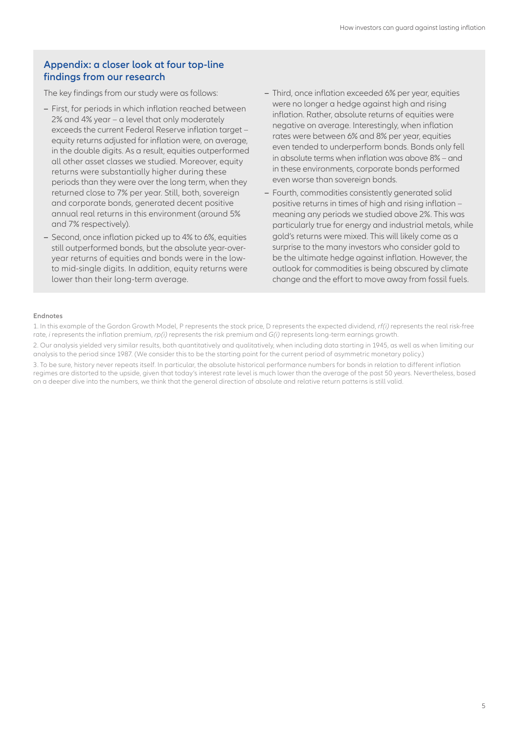## **Appendix: a closer look at four top-line findings from our research**

The key findings from our study were as follows:

- **–** First, for periods in which inflation reached between 2% and 4% year – a level that only moderately exceeds the current Federal Reserve inflation target – equity returns adjusted for inflation were, on average, in the double digits. As a result, equities outperformed all other asset classes we studied. Moreover, equity returns were substantially higher during these periods than they were over the long term, when they returned close to 7% per year. Still, both, sovereign and corporate bonds, generated decent positive annual real returns in this environment (around 5% and 7% respectively).
- **–** Second, once inflation picked up to 4% to 6%, equities still outperformed bonds, but the absolute year-overyear returns of equities and bonds were in the lowto mid-single digits. In addition, equity returns were lower than their long-term average.
- **–** Third, once inflation exceeded 6% per year, equities were no longer a hedge against high and rising inflation. Rather, absolute returns of equities were negative on average. Interestingly, when inflation rates were between 6% and 8% per year, equities even tended to underperform bonds. Bonds only fell in absolute terms when inflation was above 8% – and in these environments, corporate bonds performed even worse than sovereign bonds.
- **–** Fourth, commodities consistently generated solid positive returns in times of high and rising inflation – meaning any periods we studied above 2%. This was particularly true for energy and industrial metals, while gold's returns were mixed. This will likely come as a surprise to the many investors who consider gold to be the ultimate hedge against inflation. However, the outlook for commodities is being obscured by climate change and the effort to move away from fossil fuels.

#### **Endnotes**

1. In this example of the Gordon Growth Model, P represents the stock price, D represents the expected dividend, *rf(i)* represents the real risk-free rate, *i* represents the inflation premium, *rp(i)* represents the risk premium and *G(i)* represents long-term earnings growth.

2. Our analysis yielded very similar results, both quantitatively and qualitatively, when including data starting in 1945, as well as when limiting our analysis to the period since 1987. (We consider this to be the starting point for the current period of asymmetric monetary policy.)

3. To be sure, history never repeats itself. In particular, the absolute historical performance numbers for bonds in relation to different inflation regimes are distorted to the upside, given that today's interest rate level is much lower than the average of the past 50 years. Nevertheless, based on a deeper dive into the numbers, we think that the general direction of absolute and relative return patterns is still valid.